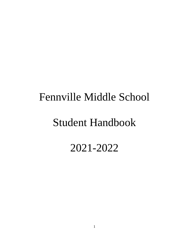# Fennville Middle School

## Student Handbook

2021-2022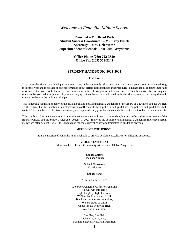## *Welcome to Fennville Middle School*

**Principal – Mr. Brent Potts Student Success Coordinator – Mr. Troy Dusek Secretary – Mrs. Deb Morse Superintendent of Schools – Mr. Jim Greydanus**

> **Office Phone (269) 722-3550 Office Fax (269) 561-2143**

#### **STUDENT HANDBOOK, 2021-2022**

### **FOREWORD**

This student handbook was developed to answer many of the commonly asked questions that you and your parents may have during the school year and to provide specific information about certain Board policies and procedures. This handbook contains important information that you should know. Become familiar with the following information and keep the handbook available for frequent reference by you and your parents. If you have any questions that are not addressed in this handbook, you are encouraged to talk to your teachers or the building principal.

This handbook summarizes many of the official policies and administrative guidelines of the Board of Education and the District. To the extent that the handbook is ambiguous or conflicts with these policies and guidelines, the policies and guidelines shall control. This handbook is effective immediately and supersedes any prior handbook and other written material on the same subjects.

This handbook does not equate to an irrevocable contractual commitment to the student, but only reflects the current status of the Board's policies and the School's rules as of August 1, 2021. If any of the policies or administrative guidelines referenced herein are revised after August 1, 2021, the language in the most current policy or administrative guideline prevails.

## **MISSION OF THE SCHOOL**

It is the mission of Fennville Public Schools to provide academic excellence for a lifetime of success.

#### **VISION STATEMENT**

Educational Excellence, Community Atmosphere, Global Perspective

#### **School Colors**

Black and Orange

#### **School Nickname**

Blackhawks

#### **School Song**

"Cheer for Fennville"

Cheer for Fennville, Cheer for Fennville We will win this game. Fight for glory, fight for honor We'll uphold our name, F.H.S. Black and orange, are our colors, We are proud to claim Cheer for old Fennville High We'll win this game.

Che Hee, Che Hah, Che Hah, Hah, Hah, Fennville Blackhawks, Rah, Rah, Rah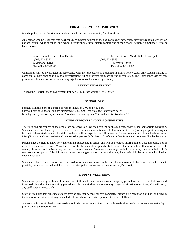## **EQUAL EDUCATION OPPORTUNITY**

It is the policy of this District to provide an equal education opportunity for all students.

Any person who believes that s/he has been discriminated against on the basis of his/her race, color, disability, religion, gender, or national origin, while at school or a school activity should immediately contact one of the School District's Compliance Officers listed below:

(269) 722-3350 (269) 722-3555 5 Memorial Drive 5 Memorial Drive Fennville, MI 49408 Fennville, MI 49408

Jessie Gierucki, Curriculum Director Mr. Brent Potts, Middle School Principal

Complaints will be investigated in accordance with the procedures as described in Board Policy 2260. Any student making a complaint or participating in a school investigation will be protected from any threat or retaliation. The Compliance Officer can provide additional information concerning equal access to educational opportunity.

#### **PARENT INVOLVEMENT**

To read the District Parent Involvement Policy # 2112 please visit the FMS Office.

## **SCHOOL DAY**

Fennville Middle School is open between the hours of 7:00 and 3:30 p.m. Classes begin at 7:50 a.m. and are dismissed at 2:50 p.m. Free breakfast is provided daily. Mondays- early release days occur on Mondays. Classes begin at 7:50 and are dismissed at 2:25.

#### **STUDENT RIGHTS AND RESPONSIBILITIES**

The rules and procedures of the school are designed to allow each student to obtain a safe, orderly, and appropriate education. Students can expect their rights to freedom of expression and association and to fair treatment as long as they respect those rights for their fellow students and the staff. Students will be expected to follow teachers' directions and to obey all school rules. Disciplinary procedures are designed to ensure due process (a fair hearing) before a student is removed because of his/her behavior.

Parents have the right to know how their child is succeeding in school and will be provided information on a regular basis, and as needed, when concerns arise. Many times it will be the student's responsibility to deliver that information. If necessary, the mail, e-mail, phone or hand delivery may be used to ensure contact. Parents are encouraged to build a two-way link with their child's teachers and support staff by informing the staff of suggestions or concerns that may help their child better accomplish his/her educational goals.

Students will arrive at school on time, prepared to learn and participate in the educational program. If, for some reason, this is not possible, the student should seek help from the principal or student success coordinator (Mr. Dusek).

#### **STUDENT WELL-BEING**

Student safety is a responsibility of the staff. All staff members are familiar with emergency procedures such as fire, lockdown and tornado drills and accident reporting procedures. Should a student be aware of any dangerous situation or accident, s/he will notify any staff person immediately.

State law requires that all students must have an emergency medical card completed, signed by a parent or guardian, and filed in the school office. A student may be excluded from school until this requirement has been fulfilled.

Students with specific health care needs should deliver written notice about such needs along with proper documentation by a physician, to the school office.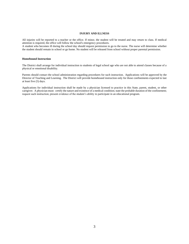#### **INJURY AND ILLNESS**

All injuries will be reported to a teacher or the office. If minor, the student will be treated and may return to class. If medical attention is required, the office will follow the school's emergency procedures.

A student who becomes ill during the school day should request permission to go to the nurse. The nurse will determine whether the student should remain in school or go home. No student will be released from school without proper parental permission.

#### **Homebound Instruction**

The District shall arrange for individual instruction to students of legal school age who are not able to attend classes because of a physical or emotional disability.

Parents should contact the school administration regarding procedures for such instruction. Applications will be approved by the Director of Teaching and Learning. The District will provide homebound instruction only for those confinements expected to last at least five (5) days.

Applications for individual instruction shall be made by a physician licensed to practice in this State, parent, student, or other caregiver. A physician must: certify the nature and existence of a medical condition; state the probable duration of the confinement; request such instruction; present evidence of the student's ability to participate in an educational program.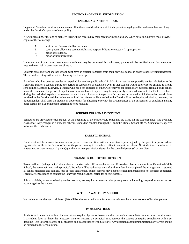#### **SECTION I - GENERAL INFORMATION**

#### **ENROLLING IN THE SCHOOL**

In general, State law requires students to enroll in the school district in which their parent or legal guardian resides unless enrolling under the District's open enrollment policy.

New students under the age of eighteen (18) will be enrolled by their parent or legal guardian. When enrolling, parents must provide copies of the following:

- A. a birth certificate or similar document,<br>B. court papers allocating parental rights
- B. court papers allocating parental rights and responsibilities, or custody (if appropriate) C. proof of residency,
- C. proof of residency,<br>D proof of immunization
- proof of immunizations.

Under certain circumstances, temporary enrollment may be permitted. In such cases, parents will be notified about documentation required to establish permanent enrollment.

Students enrolling from another school must have an official transcript from their previous school in order to have credits transferred. The school secretary will assist in obtaining the transcript.

A student who has been suspended or expelled by another public school in Michigan may be temporarily denied admission to the Fennville District's schools during the period of suspension or expulsion even if that student would otherwise be entitled to attend school in the District. Likewise, a student who has been expelled or otherwise removed for disciplinary purposes from a public school in another state and the period of expulsion or removal has not expired, may be temporarily denied admission to the District's schools during the period of expulsion or removal or until the expiration of the period of expulsion or removal which the student would have received in the District had the student committed the offense while enrolled in the District. Prior to denying admission, however, the Superintendent shall offer the student an opportunity for a hearing to review the circumstances of the suspension or expulsion and any other factors the Superintendent determines to be relevant.

#### **SCHEDULING AND ASSIGNMENT**

Schedules are provided to each student at the beginning of the school year. Schedules are based on the student's needs and available class space. Any changes in a student's schedule should be handled through the Fennville Middle School office. Students are expected to follow their schedules.

#### **EARLY DISMISSAL**

No student will be allowed to leave school prior to dismissal time without a written request signed by the parent, a person whose signature is on file in the School office, or the parent coming to the school office to request the release. No student will be released to a person other than a custodial parent(s) without written permission signed by the custodial parent(s) or guardian.

#### **TRANSFER OUT OF THE DISTRICT**

Parents will notify the principal about plans to transfer their child to another school. If a student plans to transfer from Fennville Middle School, the parent will notify the principal. Transfer will be authorized only after the student has completed the arrangements, returned all school materials, and paid any fees or fines that are due. School records may not be released if the transfer is not properly completed. Parents are encouraged to contact the Fennville Middle School office for specific details.

School officials, when transferring student records, are required to transmit disciplinary records including suspension and expulsion actions against the student.

#### **WITHDRAWAL FROM SCHOOL**

No student under the age of eighteen (18) will be allowed to withdraw from school without the written consent of his /her parents.

#### **IMMUNIZATIONS**

Students will be current with all immunizations required by law or have an authorized waiver from State immunization requirements. If a student does not have the necessary shots or waivers, the principal may remove the student or require compliance with a set deadline. This is for the safety of all students and in accordance with State law. Any questions about immunizations or waivers should be directed to the school nurse.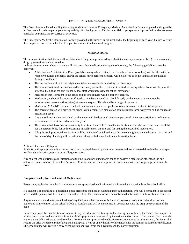## **EMERGENCY MEDICAL AUTHORIZATION**

The Board has established a policy that every student will have an Emergency Medical Authorization Form completed and signed by his/her parent in order to participate in any activity off school grounds. This includes field trips, spectator trips, athletic and other extracurricular activities, and co-curricular activities.

The Emergency Medical Authorization Form is provided at the time of enrollment and at the beginning of each year. Failure to return the completed form to the school will jeopardize a student's educational program.

### **MEDICATIONS**

The term medication shall include all medicines including those prescribed by a physician and any non-prescribed (over-the-counter) drugs, preparations, and/or remedies.

In those circumstances where a student will take prescribed medication during the school day, the following guidelines are to be observed:

- A Medication Administration Form (available in any school office, from the school nurse, or online) will be filed with the respective building principal and/or the school nurse before the student will be allowed to begin taking any medication during school hours.
- The medication will be in the original container appropriately labeled by the pharmacy.
- The administration of medication and/or medically-prescribed treatment to a student during school hours will be permitted at school by authorized and trained school staff when necessary for school attendance.
- Medication that is brought to the office and/or school nurse will be properly secured.
- Medication, and special equipment if needed, may be conveyed to school directly by the parent or transported by transportation personnel (bus driver) at parental request. This should be arranged in advance.
- Medication MAY NOT be sent to school in a student's lunch box, pocket or other means on or about his/her person.
- The parent/guardian will provide the school with a completed medication administration form every year and as changes in medication occur.
- Any unused medication unclaimed by the parent will be destroyed by school personnel when a prescription is no longer to be administered or at the end of a school year.
- The parents shall have sole responsibility to instruct their child to take the medication at the scheduled time, and the child has the responsibility for both presenting himself/herself on time and for taking the prescribed medication.
- A log for each prescribed medication shall be maintained which will note the personnel giving the medication, the date, and the time of day. This log will be maintained along with the medication administration form.

#### Asthma Inhalers and Epi-pens

Students, with appropriate written permission from the physician and parent, may possess and use a metered dose inhaler or epi-pen to alleviate asthmatic symptoms or an allergic reaction.

Any student who distributes a medication of any kind to another student or is found to possess a medication other than the one authorized is in violation of the school's Code of Conduct and will be disciplined in accordance with the drug-use provision of the Code.

#### **Non-prescribed (Over-the-Counter) Medications**

Parents may authorize the school to administer a non-prescribed medication using a form which is available at the school office.

If a student is found using or possessing a non-prescribed medication without parent authorization, s/he will be brought to the school office and the parents will be contacted for authorization. The medication will be confiscated until written authorization is received.

Any student who distributes a medication of any kind to another student or is found to possess a medication other than the one authorized is in violation of the school's Code of Conduct and will be disciplined in accordance with the drug-use provision of the code.

Before any prescribed medication or treatment may be administered to any student during school hours, the Board shall require the written prescription and instructions from the child's physician accompanied by the written authorization of the parent. Both must also authorize any self-medication by the student. Before any non-prescribed medication or treatment may be administered, the Board shall require the prior written consent of the parent along with a waiver of any liability of the District for the administration of the medication. The school nurse will receive a copy of the written approval from the physician and the parent/guardian.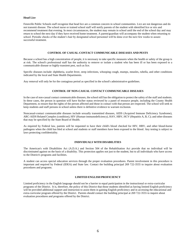#### **Head Lice**

Fennville Public Schools staff recognize that head lice are a common concern in school communities. Lice are not dangerous and do not transmit disease. The school nurse or trained school staff will notify parents of the student with identified lice or nits and recommend treatment that evening. In most circumstances, the student may remain in school until the end of the school day and may return to school the next day if they have received home treatment. A parent/guardian will accompany the student when returning to school. Periodic checks of the student's hair by designated school personnel will be done over the next few weeks to assure successful treatment.

#### **CONTROL OF CASUAL-CONTACT COMMUNICABLE DISEASES AND PESTS**

Because a school has a high concentration of people, it is necessary to take specific measures when the health or safety of the group is at risk. The school's professional staff has the authority to remove or isolate a student who has been ill or has been exposed to a communicable disease or highly-transient pest, such as lice.

Specific diseases include: diphtheria, scarlet fever, strep infections, whooping cough, mumps, measles, rubella, and other conditions indicated by the local and State Health Departments.

Any removal will only be for the contagious period as specified in the school's administrative guidelines.

#### **CONTROL OF NON-CASUAL CONTACT COMMUNICABLE DISEASES**

In the case of non-casual contact communicable diseases, the school still has the obligation to protect the safety of the staff and students. In these cases, the person in question will have his/her status reviewed by a panel of resource people, including the County Health Department, to ensure that the rights of the person affected and those in contact with that person are respected. The school will seek to keep students and staff persons in school unless there is definitive evidence to warrant exclusion.

Noncasual-contact communicable diseases include sexually transmitted diseases, AIDS (Acquired Immune Deficiency Syndrome), ARC-AIDS Related Complex (condition), HIV (Human-immunodeficiency), HAV, HBV, HCV (Hepatitis A, B, C); and other diseases that may be specified by the State Board of Health.

As required by Federal law, parents will be requested to have their child's blood checked for HIV, HBV, and other blood-borne pathogens when the child has bled at school and students or staff members have been exposed to the blood. Any testing is subject to laws protecting confidentiality.

## **INDIVIDUALS WITH DISABILITIES**

The American's with Disabilities Act (A.D.A.) and Section 504 of the Rehabilitation Act provide that no individual will be discriminated against on the basis of a disability. This protection applies not just to the student, but to all individuals who have access to the District's programs and facilities.

A student can access special education services through the proper evaluation procedures. Parent involvement in this procedure is important and required by Federal (IDEA) and State law. Contact the building principal 269 722-3555 to inquire about evaluation procedures and programs.

#### **LIMITED ENGLISH PROFICIENCY**

Limited proficiency in the English language should not be a barrier to equal participation in the instructional or extra-curricular programs of the District. It is, therefore, the policy of this District that those students identified as having limited English proficiency will be provided additional support and instruction to assist them in gaining English proficiency and in accessing the educational and extra-curricular program offered by the District. Parents should contact the building principal at 269 722-3555 to inquire about evaluation procedures and programs offered by the District.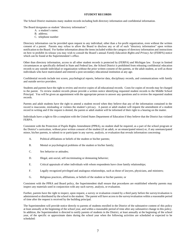## **STUDENT RECORDS**

The School District maintains many student records including both directory information and confidential information.

The Board designates as student "directory information":

- A. a student's name;
- B. address;
- C. telephone number

Directory information can be provided upon request to any individual, other than a for-profit organization, even without the written consent of a parent. Parents may refuse to allow the Board to disclose any or all of such "directory information" upon written notification to the Board. For further information about the items included within the category of directory information and instructions on how to prohibit its release you may wish to consult the Board's annual *Family Education Rights and Privacy Act* (FERPA) notice which can be found at the Superintendent's office.

Other than directory information, access to all other student records is protected by (FERPA) and Michigan law. Except in limited circumstances as specifically defined in State and Federal law, the School District is prohibited from releasing confidential education records to any outside individual or organization without the prior written consent of the parents, or the adult student, as well as those individuals who have matriculated and entered a post-secondary educational institution at any age.

Confidential records include test scores, psychological reports, behavior data, disciplinary records, and communications with family and outside service providers.

Students and parents have the right to review and receive copies of all educational records. Costs for copies of records may be charged to the parent. To review student records please provide a written notice identifying requested student records to the Middle School Principal. You will be given an appointment with the appropriate person to answer any questions and to review the requested student records.

Parents and adult students have the right to amend a student record when they believe that any of the information contained in the record is inaccurate, misleading or violates the student's privacy. A parent or adult student will request the amendment of a student record in writing and if the request is denied, the parent or adult student will be informed of their right to a hearing on the matter.

Individuals have a right to file a complaint with the United States Department of Education if they believe that the District has violated FERPA.

Consistent with the Protection of Pupils Rights Amendment (PPRA), no student shall be required, as a part of the school program or the District's curriculum, without prior written consent of the student (if an adult, or an emancipated minor) or, if any unemancipated minor, his/her parents, to submit to or participate in any survey, analysis, or evaluation that reveals information concerning:

- A. Political affiliations or beliefs of the student or his/her parents;
- B. Mental or psychological problems of the student or his/her family;
- C. Sex behavior or attitudes;
- D. Illegal, anti-social, self-incriminating or demeaning behavior;
- E. Critical appraisals of other individuals with whom respondents have close family relationships;
- F. Legally recognized privileged and analogous relationships, such as those of lawyers, physicians, and ministers;
- G. Religious practices, affiliations, or beliefs of the student or his/her parents; or

Consistent with the PPRA and Board policy, the Superintendent shall ensure that procedures are established whereby parents may inspect any materials used in conjunction with any such survey, analysis, or evaluation.

Further, parents have the right to inspect, upon request, a survey or evaluation created by a third party before the survey/evaluation is administered or distributed by the school to the student. The parent will have access to the survey/evaluation within a reasonable period of time after the request is received by the building principal.

The Superintendent will provide notice directly to parents of students enrolled in the District of the substantive content of this policy at least annually at the beginning of the school year, and within a reasonable period of time after any substantive change in this policy. In addition, the Superintendent is directed to notify parents of students in the District, at least annually at the beginning of the school year, of the specific or approximate dates during the school year when the following activities are scheduled or expected to be scheduled: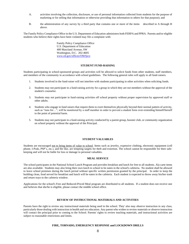- A. activities involving the collection, disclosure, or use of personal information collected from students for the purpose of marketing or for selling that information or otherwise providing that information to others for that purpose); and
- B. the administration of any survey by a third party that contains one or more of the items described in A through H above.

The Family Policy Compliance Office in the U.S. Department of Education administers both FERPA and PPRA. Parents and/or eligible students who believe their rights have been violated may file a complaint with:

> Family Policy Compliance Office U.S. Department of Education 400 Maryland Avenue, SW Washington, D.C. 202-4605 [www.ed.gov/offices/OM/fpco](http://www.ed.gov/offices/OM/fpco)

#### **STUDENT FUND-RAISING**

Students participating in school-sponsored groups and activities will be allowed to solicit funds from other students, staff members, and members of the community in accordance with school guidelines. The following general rules will apply to all fund-raisers.

- 1. Students involved in the fund-raiser will not interfere with students participating in other activities when soliciting funds.
- 2. Students may not participate in a fund-raising activity for a group in which they are not members without the approval of the student's counselor.
- 3. Students may not participate in fund-raising activities off school property without proper supervision by approved staff or other adults.
- 4. Students who engage in fund raisers that require them to exert themselves physically beyond their normal pattern of activity, such as "runs for…", will be monitored by a staff member in order to prevent a student form over-extending himself/herself to the point of potential harm.
- 5. Students may not participate in a fund-raising activity conducted by a parent group, booster club, or community organization on school property without the approval of the Principal.

#### **STUDENT VALUABLES**

Students are encouraged not to bring items of value to school. Items such as jewelry, expensive clothing, electronic equipment (cell phone, I-Pods, PSP's, etc.), and the like, are tempting targets for theft and extortion. The school cannot be responsible for their safekeeping and will not be liable for loss or damage to personal valuables.

#### **MEAL SERVICE**

The school participates in the National School Lunch Program and provides breakfast and lunch for free to all students. Ala carte items are also available. Students may also bring their own lunch to school to be eaten in the school's cafeteria. No student shall be allowed to leave school premises during the lunch period without specific written permission granted by the principal. In order to keep the building clean, food served for breakfast and lunch will be eaten in the cafeteria. Each student is expected to throw away his/her trash and return trays to the cafeteria window.

Applications for the school's Free and Reduced-Priced Meal program are distributed to all students. If a student does not receive one and believes that she/he is eligible, please contact the middle school office.

## **REVIEW OF INSTRUCTIONAL MATERIALS AND ACTIVITIES**

Parents have the right to review any instructional materials being used in the school. They' also may observe instruction in any class, particularly those dealing with instruction in health and sex education. Any parent who wishes to review materials or observe instruction will contact the principal prior to coming to the School. Parents' rights to review teaching materials, and instructional activities are subject to reasonable restrictions and limits.

### **FIRE, TORNADO, EMERGENCY RESPONSE and LOCKDOWN DRILLS**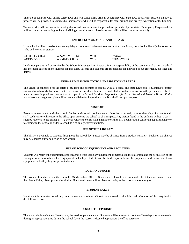The school complies with all fire safety laws and will conduct fire drills in accordance with State law. Specific instructions on how to proceed will be provided to students by their teachers who will be responsible for safe, prompt, and orderly evacuation of the building.

Tornado drills will be conducted during the tornado season using the procedures provided by the state. Emergency Response drills will be conducted according to State of Michigan requirements. Two lockdown drills will be conducted annually.

## **EMERGENCY CLOSINGS AND DELAYS**

If the school will be closed or the opening delayed because of inclement weather or other conditions, the school will notify the following radio and television stations:

| WMMT-TV CH. 3 | WZZM-TV CH. 13 | WHTC | <b>WOXC</b> |
|---------------|----------------|------|-------------|
| WOOD-TV CH. 8 | WXMI-TV CH. 17 | WKZO | WKMI/WKFR   |

In addition parents will be notified by the School Messenger Alert System. It is the responsibility of the parent to make sure the school has the most current phone number for this alert. Parents and students are responsible for knowing about emergency closings and delays.

#### **PREPAREDNESS FOR TOXIC AND ASBESTOS HAZARDS**

The School is concerned for the safety of students and attempts to comply with all Federal and State Laws and Regulations to protect students from hazards that may result from industrial accidents beyond the control of school officials or from the presence of asbestos materials used in previous construction. A copy of the School District's *Preparedness for Toxic Hazard and Asbestos Hazard Policy* and asbestos management plan will be made available for inspection at the Board offices upon request.

#### **VISITORS**

Parents are welcome to visit the school. Student visitors will not be allowed. In order to properly monitor the safety of students and staff, each visitor will report to the office upon entering the school to obtain a pass. Any visitor found in the building without a pass shall be reported to the principal. If a person wishes to confer with a member of the staff, she/he should call for an appointment prior to coming to the school in order to schedule a mutually convenient time.

### **USE OF THE LIBRARY**

The library is available to students throughout the school day. Passes may be obtained from a student's teacher. Books on the shelves may be checked out for a period of two weeks.

## **USE OF SCHOOL EQUIPMENT AND FACILITIES**

Students will receive the permission of the teacher before using any equipment or materials in the classroom and the permission of the Principal to use any other school equipment or facility. Students will be held responsible for the proper use and protection of any equipment or facility they are permitted to use.

#### **LOST AND FOUND**

The lost and found area is in the Fennville Middle School Office. Students who have lost items should check there and may retrieve their items if they give a proper description. Unclaimed items will be given to charity at the close of the school year.

## **STUDENT SALES**

No student is permitted to sell any item or service in school without the approval of the Principal. Violation of this may lead to disciplinary action.

#### **USE OF TELEPHONES**

There is a telephone in the office that may be used for personal calls. Students will be allowed to use the office telephone when needed during an appropriate time during the school day if the reason is deemed appropriate by office personnel.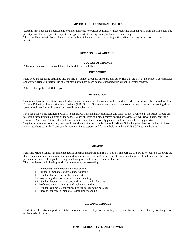## **ADVERTISING OUTSIDE ACTIVITIES**

Students may not post announcements or advertisements for outside activities without receiving prior approval from the principal. The principal will try to respond to requests for approval within twenty-four (24) hours of their receipt. The school has bulletin boards located in the halls which may be used for posting notices after receiving permission from the principal.

#### **SECTION II - ACADEMICS**

### **COURSE OFFERINGS**

A list of courses offered is available in the Middle School Office.

#### **FIELD TRIPS**

Field trips are academic activities that are held off school grounds. There are also other trips that are part of the school's co-curricular and extra-curricular program. No student may participate in any school-sponsored trip without parental consent.

School rules apply to all field trips.

#### **PBIS/S.O.A.R.**

To align behavioral expectations and bridge the gap between the elementary, middle, and high school buildings, FMS has adopted the Positive Behavioral Interventions and Systems (P.B.I.S.). PBIS is an evidence based framework for improving and integrating data, systems and practices to improve the overall student behavior.

FMS has adopted the acronym S.O.A.R. (Supportive, Outstanding, Accountable and Respectful). Everyone in the school should aim to exhibit these traits in all areas of the school. When students exhibit a positive desired behavior, staff will reward students with a Hawks SOAR ticket. Tickets should be turned in to the office for monthly popcorn and the chance for a bigger prize. Together as a school community we look forward to continuing to make Fennville Middle School a great place for students to learn and for teachers to teach. Thank you for your continued support and for your help in making FMS SOAR to new heights!

#### **GRADES**

Fennville Middle School has implemented a Standards Based Grading (SBG) policy. The purpose of SBG is to focus on capturing the degree a student understands and masters a standard or concept. In general, students are evaluated on a rubric to indicate the level of proficiency. Each child's goal is to be grade level proficient on each essential standard. The school uses the following rubric for determining understanding:

- 0 Incomplete: demonstrates no understanding
- 1 Limited: demonstrates partial understanding
- 1.5 Student knows some of the easier parts
- 2 Progressing: demonstrates basic understanding
- 2.5 Student knows the easy parts and some of the harder parts
- 3 Proficient: demonstrates grade level understanding
- 3.5 Student can make connections but still makes some mistakes
- 4 Exceeds Standard: demonstrates deep understanding

#### **GRADING PERIODS**

Students shall receive a report card at the end of each nine week period indicating their grades for each course of study for that portion of the academic term.

**POWERSCHOOL INTERNET VIEWER**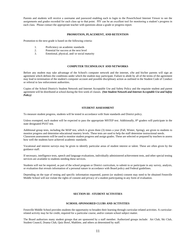Parents and students will receive a username and password enabling each to login to the PowerSchool Internet Viewer to see the assignments and grades recorded for each class up to that point. PIV can be an excellent tool for monitoring a student's progress in each class. Please contact the appropriate teacher with questions about a grade or progress report.

#### **PROMOTION, PLACEMENT, AND RETENTION**

Promotion to the next grade is based on the following criteria:

- 1. Proficiency on academic standards
- 2. Potential for success at the next level<br>3. Emotional, physical, and/ or social man
- Emotional, physical, and/ or social maturity

## **COMPUTER TECHNOLOGY AND NETWORKS**

Before any student may take advantage of the School's computer network and the internet, s/he and his/her parents will sign an agreement which defines the conditions under which the student may participate. Failure to abide by all of the terms of the agreement may lead to termination of the student's computer account and possible disciplinary action as outlined in the Student Code of Conduct or referral to law enforcement authorities.

Copies of the School District's Student Network and Internet Acceptable Use and Safety Policy and the requisite student and parent agreement will be distributed at school during the first week of classes. **(See** *Student Network and Internet Acceptable Use and Safety Policy)*

## **STUDENT ASSESSMENT**

To measure student progress, students will be tested in accordance with State standards and District policy.

Unless exempted, each student will be expected to pass the appropriate MSTEP test. Additionally,  $8<sup>th</sup>$  graders will participate in the state designated PSAT test.

Additional group tests, including the MAP test, which is given three (3) times a year (Fall, Winter, Spring), are given to students to monitor progress and determine educational mastery levels. These tests are used to help the staff determine instructional needs. Classroom assessments will be used to monitor student progress and assign grades. These are selected or prepared by teachers to assess how well the students have achieved academic standards.

Vocational and interest surveys may be given to identify particular areas of student interest or talent. These are often given by the guidance staff.

If necessary, intelligence tests, speech and language evaluations, individually administered achievement tests, and other special testing services are available to students needing these services.

Students will not be required, as part of the school program or District curriculum, to submit to or participate in any survey, analysis, or evaluation that reveals information of a personal nature in accordance with Board policy and Federal guidelines.

Depending on the type of testing and specific information requested, parent (or student) consent may need to be obtained Fennville Middle School will not violate the rights of consent and privacy of a student participating in any form of evaluation.

## **SECTION III - STUDENT ACTIVITIES**

#### **SCHOOL-SPONSORED CLUBS AND ACTIVITIES**

Fennville Middle School provides students the opportunity to broaden their learning through curricular-related activities. A curricularrelated activity may be for credit, required for a particular course, and/or contain school subject matter.

The Board authorizes many student groups that are sponsored by a staff member. Authorized groups include: Art Club, Ski Club, Student Council, Drama Club, Quiz Bowl, Mathlete, and others as determined by staff.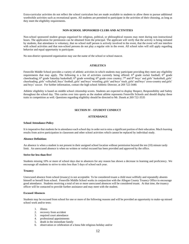Extra-curricular activities do not reflect the school curriculum but are made available to students to allow them to pursue additional worthwhile activities such as recreational sports. All students are permitted to participate in the activities of their choosing, as long as they meet the eligibility requirements.

## **NON-SCHOOL SPONSORED CLUBS AND ACTIVITIES**

Non-school sponsored student groups organized for religious, political, or philosophical reasons may meet during non-instructional hours. The application for permission can be obtained from the principal. The applicant will verify that the activity is being initiated by students, that attendance is voluntary, that no school staff person is actively involved in the event, that the event will not interfere with school activities and that non-school persons do not play a regular role in the event. All school rules will still apply regarding behavior and equal opportunity to participate.

No non-district sponsored organization may use the name of the school or school mascot.

#### **ATHLETICS**

Fennville Middle School provides a variety of athletic activities in which students may participate providing they meet any eligibility requirements that may apply. The following is a list of activities currently being offered: 6<sup>th</sup> grade rocket football; 6<sup>th</sup> grade cheerleading; 6<sup>th</sup> grade Saturday basketball; 6<sup>th</sup> grade wrestling; 6<sup>th</sup> grade cross country; 7<sup>th</sup> and 8<sup>th</sup> boys' and girls' basketball, girls' cheerleading, girls' volleyball, boys' football, girls' and boys' wrestling, girls' and boys' track, girls' and boys' cross-country and girls' and boys' soccer. For further information, contact the high school Athletic Director, at 269 722-3440.

Athletic eligibility is based on middle school citizenship scores. Students are expected to display Respect, Responsibility and Safety throughout the school day. This carries over into sports as the student athlete represents Fennville Schools and should display these traits in competition as well. Questions regarding eligibility should be directed to Mr. Dusek at 269 722-3535

## **SECTION IV - STUDENT CONDUCT**

## **ATTENDANCE**

#### **School Attendance Policy**

It is imperative that students be in attendance each school day in order not to miss a significant portion of their education. Much learning results from active participation in classroom and other school activities which cannot be replaced by individual study.

#### **Absence Definition:**

An absence is when a student is not present in their assigned school location without permission beyond the ten (10) minute tardy limit. An unexcused absence is when no written or verbal excused has been provided and approved by the office.

## **Strive for less than five!**

Students missing 10% or more of school days due to absences for any reason has shown a decrease in learning and proficiency. We encourage all students to strive to miss less than 5 days of school each year.

## **Truancy**

Unexcused absence from school (truancy) is not acceptable. To be considered truant a child must willfully and repeatedly absents himself or herself from school. Fennville Middle School works in conjunction with the Allegan County Truancy Office to encourage good attendance. Students receiving a total of ten or more unexcused absences will be considered truant. At that time, the truancy officer will be contacted to provide further assistance and may meet with the student.

#### **Excused Absences**

Students may be excused from school for one or more of the following reasons and will be provided an opportunity to make-up missed school work and/or tests:

- 1. illness
- 2. recovery from accident
- 3. required court attendance
- 4. professional appointments
- 5. death in the immediate family
- 6. observation or celebration of a bona fide religious holiday and/or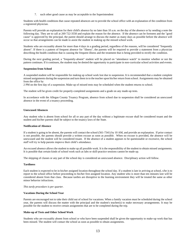7. such other good cause as may be acceptable to the Superintendent

Students with health conditions that cause repeated absences are to provide the school office with an explanation of the condition from a registered physician.

Parents will provide an explanation for their child's absence by no later than 10 a.m. on the day of the absence or by sending a note the following day. They are to call at 269 722-3550 and explain the reason for the absence. If the absence can be foreseen and the "good cause" is approved by the principal, the parent should arrange to discuss the matter as many days as possible before the absence will occur so that arrangements can be made to assist the student in making up the missed school work.

Students who are excusably absent for more than 4 days in a grading period, regardless of the reasons, will be considered "frequently absent". If there is a pattern of frequent absence for "illness", the parents will be required to provide a statement from a physician describing the health condition that is causing the frequent illness and the treatment that is being provided to rectify the condition.

During the next grading period, a "frequently-absent" student will be placed on "attendance watch" to monitor whether or not the pattern continues. If it continues, the student may be denied the opportunity to participate in non-curricular school activities and events.

#### **Suspension from School**

A suspended student will be responsible for making up school work lost due to suspension. It is recommended that a student complete missed assignments during the suspension and turn them in to the teacher upon his/her return from school. Assignments may be obtained from the office by

2 PM on the first day of a suspension. Make up of missed tests may be scheduled when the student returns to school.

The student will be given credit for properly-completed assignments and a grade on any made-up tests.

In accordance with the Allegan County Truancy Program, absence from school due to suspension shall be considered an unexcused absence in the event of a truancy proceeding.

#### **Unexcused Absences**

Any student who is absent from school for all or any part of the day without a legitimate excuse shall be considered truant and the student and his/her parents shall be subject to the truancy laws of the State.

#### **Notification of Absence**

If a student is going to be absent, the parents will contact the school (561-7341) by 10 AM, and provide an explanation. If prior contact is not possible, the parents should provide a written excuse as soon as possible. When no excuse is provided, the absence will be unexcused and the student will be considered truant. If the absence of a student appears to be questionable or excessive, the school staff will try to help parents improve their child's attendance.

An excused absence allows the student to make up all possible work. It is the responsibility of the student to obtain missed assignments. It is possible that certain kinds of school work such as labs or skill-practice sessions cannot be made up.

The skipping of classes or any part of the school day is considered an unexcused absence. Disciplinary action will follow.

#### **Tardiness**

Each student is expected to be in his/her assigned location throughout the school day. If a student is late in arriving at school, s/he is to report to the school office before proceeding to his/her first assigned location. Any student who is more than ten minutes late will be considered absent from that class. Because tardies are disruptive to the learning environment they will be treated the same as other minor behavior infractions.

#### *This tardy procedure is per quarter.*

#### **Vacations During the School Year**

Parents are encouraged not to take their child out of school for vacations. When a family vacation must be scheduled during the school year, the parents will discuss the matter with the principal and the student's teacher(s) to make necessary arrangements. It may be possible for the student to receive certain assignments that are to be completed during the trip.

#### **Make-up of Tests and Other School Work**

Students who are excusably absent from school or who have been suspended shall be given the opportunity to make-up work that has been missed. The student will contact the school as soon as possible to obtain assignments.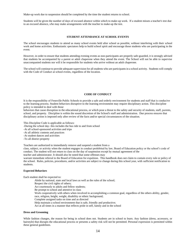Make-up work due to suspension should be completed by the time the student returns to school.

Students will be given the number of days of excused absence within which to make-up work. If a student misses a teacher's test due to an excused absence, s/he may make arrangements with the teacher to make-up the test.

#### **STUDENT ATTENDANCE AT SCHOOL EVENTS**

The school encourages students to attend as many school events held after school as possible, without interfering with their school work and home activities. Enthusiastic spectators help to build school spirit and encourage those students who are participating in the event.

However, in order to ensure that students attending evening events as non-participants are properly safe-guarded, it is strongly advised that students be accompanied by a parent or adult chaperone when they attend the event. The School will not be able to supervise unaccompanied students nor will it be responsible for students who arrive without an adult chaperone.

The school will continue to provide adequate supervision for all students who are participants in a school activity. Students will comply with the Code of Conduct at school events, regardless of the location.

#### **CODE OF CONDUCT**

It is the responsibility of Fennville Public Schools to provide a safe and orderly environment for students and staff that is conducive to the learning process. Student behaviors disruptive to the learning environment may require disciplinary action. This discipline policy is intended to deal with those

behaviors that cause disruption to the educational process, or which pose a threat to the safety and security of students, staff, parents, school, and property. Discipline is within the sound discretion of the School's staff and administration. Due process ensures that disciplinary action is imposed only after review of the facts and/or special circumstances of the situation.

This Discipline Code is applicable as follows:

-During the school day- this includes the bus ride to and from school

-At all school-sponsored activities and trips

-At all athletic contests and practices

-At student dances and activities

-To all district property

Teachers are authorized to immediately remove and suspend a student from a

class, subject, or activity when the student engages in conduct prohibited by law, Board of Education policy or the school's code of conduct. The student will not return to class on the day of suspension except by mutual agreement of the

teacher and administrator. It should also be noted that some offenses may

warrant immediate referral to the Board of Education for expulsion. This handbook does not claim to contain every rule or policy of the school. Rules, policies, procedures, and/or activities are subject to change during this school year, with sufficient notification to students.

## **Expected Behaviors**

Each student shall be expected to:

Abide by national, state and local laws as well as the rules of the school; Respect the civil rights of others; Act courteously to adults and fellow students; Be prompt to school and attentive in class Work cooperatively with others when involved in accomplishing a common goal, regardless of the others ability, gender, race, religion, height, weight, disability or ethnic background; Complete assigned tasks on time and as directed Help maintain a school environment that is safe, friendly and productive; Act at all times in a manner that reflects pride in self, family and in the school

#### **Dress and Grooming**

While fashion changes, the reason for being in school does not. Students are in school to learn. Any fashion (dress, accessory, or hairstyle) that disrupts the educational process or presents a safety risk will not be permitted. Personal expression is permitted within these general guidelines.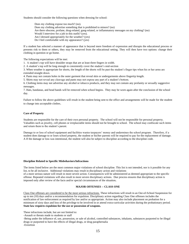Students should consider the following questions when dressing for school:

Does my clothing expose too much? (no). Does my clothing advertise something that is prohibited to minors? (no) Are there obscene, profane, drug-related, gang-related, or inflammatory messages on my clothing? (no) Would I interview for a job in this outfit? (yes). Am I dressed appropriately for the weather? (yes) Do I feel comfortable with my appearance? (yes)

If a student has selected a manner of appearance that is beyond mere freedom of expression and disrupts the educational process or presents risk to them or others, they may be removed from the educational setting. They will then have two options: change their clothing in question or go home.

The following expectations will be met:

1. A student's top will have shoulder straps that are at least three fingers in width.

2. A student's top will be long enough to consistently cover the student's mid-section

3. When weather is appropriate for shorts, the length of the shorts will be past the student's finger tips when his or her arms are extended straight down.

4. Pants may not contain holes in the outer garment that reveal skin or undergarments above fingertip length.

5. Shirts may not reveal any cleavage and pants may not expose any part of a student's bottom.

6. Clothing items may not advertise any alcohol or tobacco products, and they may not contain any profanity or sexually suggestive messages.

7. Hats, bandanas, and head bands will be removed when school begins. They may be worn again after the conclusion of the school day.

Failure to follow the above guidelines will result in the student being sent to the office and arrangements will be made for the student to change into acceptable clothes.

## **Care of Property**

Students are responsible for the care of their own personal property. The school will not be responsible for personal property. Valuables such as jewelry, cell phones or irreplaceable items should not be brought to school. The school may confiscate such items and return them to the student's parent.

Damage to or loss of school equipment and facilities wastes taxpayers' money and undermines the school program. Therefore, if a student does damage to or loses school property, the student or his/her parents will be required to pay for the replacement of damage. A If the damage or loss was intentional, the student will also be subject to discipline according to the discipline code.

#### **Discipline Related to Specific Misbehaviors/Infractions**

The items listed below are the most common major violations of school discipline. This list is not intended, nor is it possible for any list, to be all inclusive. Additional violations may result in disciplinary action and violations of a more serious nature will result in more severe action. Consequences will be administered as deemed appropriate to the specific offense. Repeated violations will also result in more severe disciplinary actions. Due process ensures that disciplinary action is imposed only after review of the facts and/or special circumstances of the situation**.**

#### **MAJOR OFFENSES -- CLASS ONE**

Class One offenses are considered to be the most serious infractions. These infractions will result in an Out-of-School Suspension for up to ten (10) days and/or a recommendation for expulsion. Disciplinary action regarding Class One offenses includes the notification of law enforcement as required by law and/or as appropriate. Action may also include placement on probation for a minimum of sixty days and loss of the privilege to be involved in or attend extra-curricular activities during the probationary period. **State law requires expulsion for the use or possession of weapons.** 

These infractions include, but are not limited to:

-Assault or threats made to students or staff

-Being under the influence of, use, possession, or sale of alcohol, controlled substances, inhalants, substances purported to be illegal drugs or purported to have the effects of illegal drugs, or drug paraphernalia

-Extortion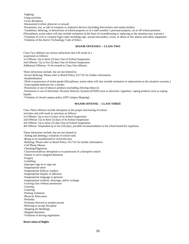-Fighting

-Gang activities

-Gross disruption

-Harassment (verbal, physical, or sexual)

-Possession, use, or sale of weapons or explosive devices (including firecrackers and smoke bombs)

-Vandalism, defacing, or destruction of school property or of a staff member's personal property, on or off school premises (Disciplinary action taken will also include restitution in the form of reconditioning or replacing as the situation may warrant.) -Violation of civil or criminal legal codes including rape, sexual misconduct, arson, or abuse of fire alarms and safety equipment

-Violation of the district Technology Code of Ethics

### **MAJOR OFFENSES -- CLASS TWO**

Class Two offenses are serious infractions that will result in a suspension as follows: 1st Offense: Up to three (3) days Out-of-School Suspension 2nd Offense: Up to five (5) days Out-of-School Suspension

Additional Offenses: To be treated as Class One offenses

These infractions include, but are not limited to:

-Severe Bullying- Please refer to Board Policy 5517.01 for further information -Insubordination

-Theft or possession of stolen goods (Disciplinary action taken will also include restitution or replacement as the situation warrants.) -Unacceptable behavior for a teacher

-Possession or use of tobacco products (including chewing tobacco)

-Possession or use of Electronic Nicotine Delivery Systems (ENDS) such as electronic cigarettes, vaping products such as vaping liquids.

-Violation of closed campus policy (Off Campus Skipping)

## **MAJOR OFFENSE -- CLASS THREE**

Class Three offenses include disruption to the proper functioning of school activities and will result in sanctions as follows: 1st Offense: Up to two (2) days of In-School Suspension 2nd Offense: Up to three (3) days of In-School Suspension 3rd Offense: Up to three (3) days Out-of-School Suspension 4th Offense: Suspended up to ten (10) days, possible recommendation to the school board for expulsion.

These infractions include, but are not limited to: -Aiding and abetting a violation of school rules -Being in an unauthorized or restricted area -Bullying- Please refer to Board Policy 5517.01 for further information -Cell Phone Misuse -Cheating/Plagiarism -Classroom/hallway disruption or in possession of a disruptive article -Failure to serve assigned detention -Forgery -Gambling -Improper sign-in or sign-out -Inappropriate attire -Inappropriate hallway conduct -Inappropriate display of affection -Inappropriate language or gestures -Inappropriate symbols, drawings, and/or writings -Leaving class without permission -Littering -Loitering -Parking violations -Physical Altercation -Profanity -Profanity directed at another person -Refusing to accept discipline -Skipping (In Building) -Skipped detention -Violation of driving regulations

#### **Reservation of Rights**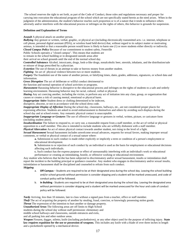The school reserves the right to set forth, as part of the Code of Conduct, those rules and regulations necessary and proper for carrying into execution the educational program of the school which are not specifically stated herein as the need arises. When in the judgment of the administration, the student's behavior reaches such proportion or is of a nature that it tends to influence others adversely and/or interferes with the educational process or infringes on the rights of others, this behavior is grounds for suspension.

#### **Definition and Explanation of Terms**

*Assault* A physical attack on another person.

*Bullying* Any gesture or written, verbal, graphic, or physical act (including electronically transmitted acts- i.e. internet, telephone or cell phone, personal digital assistant (PDA), or wireless hand held device) that, without regard to its subject matter or motivating animus, is intended or that a reasonable person would know is likely to harm one (1) or more students either directly or indirectly.

*Closed Campus Policy* Because of our commitment to student safety, Fennville

Public Schools operates a "closed campus". This means that students are

to remain in the school building or in designated outside areas after

their arrival on school grounds until the end of the normal school day.

*Controlled Substance* Alcohol, intoxicants, drugs, look-a-like drugs, nonalcoholic beer, steroids, inhalants, and the distribution/sale or misuse of drugs prescribed by a physician.

*Extortion* The use of threats in an attempt to take or borrow money from another student.

*Fighting* An act of physical violence between two or more students.

*Forgery* The fraudulent use of the name of another person, or falsifying times, dates, grades, addresses, signatures, or school data and information.

*Gross Disruption* The act of deliberate or willful conduct detrimental to

the function and normal operation of school activities or programs.

Harassment Harassing behavior is disruptive to the educational process and infringes on the rights of students to a safe and orderly learning environment. Harassing behavior may be racial, cultural, verbal or physical.

*Hazing* Any act coercing another, including the victim, to perform any act of initiation into any class, group, or organization that causes or creates a risk of causing mental, emotional or physical harm.

*Inappropriate Attire* Student dress or clothing determined to be indecent,

disruptive, obscene, or not in accordance with the school dress code.

*Inappropriate Display of Affection* During the school day, classrooms, hallways, etc., are not considered proper places for expressing affection. Students are asked to avoid embarrassment to themselves and others by avoiding such displays during the school day and at school events. Any romantic physical contact is unacceptable.

*Inappropriate Language or Gestures* The use of offensive language or gestures in verbal, written, picture, or caricature form (including student attire).

*Insubordination* The failure to respond to, or carry out, a reasonable request from a staff member, or the act of verbal or physical opposition to a staff member. This also is intended to include students who are willfully dishonest with a staff member.

*Physical Altercation* An act of minor physical contact towards another student, not rising to the level of a fight.

*Sexual Harassment* Sexual harassment includes unwelcome sexual advances, requests for sexual favors, making improper sexual comments, or verbal or physical contact of a sexual nature where:

**a.** Submission to such conduct is made either explicitly or implicitly a term or condition of a person's employment or educational development.

**b.** Submission to or rejection of such conduct by an individual is used as the basis for employment or educational decisions affecting such individuals.

**c.** Such conduct has the express purpose or effect of unreasonably interfering with an individual's work or educational performance or creating an intimidating, hostile, or offensive working or educational environment.

Any student who believes that he/she has been subjected to discriminatory and/or sexual harassment, insults or intimidation shall report the incident to the building principal or guidance counselor. Any student who engages in discriminatory and/or sexual insults, intimidation or harassment shall be disciplined and counseled to refrain from such conduct. *Skipping*

- a. **Off Campus** Students are required to be at their designated area during the school day. Leaving the school building and/or school grounds without permission is consider skipping and a student will be marked unexcused, and code of conduct policy will be followed.
- b. **In Building** Students are required to be at their designated area during the school day. Leaving the designated area without permission is consider skipping and a student will be marked unexcused for the hour and code of conduct policy will be followed.

*Tardy* Arriving, less than 10 minutes, late to class without a signed pass from a teacher, office or staff member.

*Theft* The act of acquiring the property of another by stealing, fraud, coercion, or knowingly possessing stolen goods.

*Threat* The expression of the intention to hurt another or damage property.

*Unauthorized Areas* The following areas are off limits to High School

students during the school day without staff permission: elementary and

middle school hallways and classrooms, outside entrances and exits,

and all parking lots and other outdoor areas.

*Weapon* Firearm, dagger, stiletto, knife (including pocketknives), or any other object used for the purpose of inflicting injury. **State law requires expulsion for the use or possession of weapons.** This includes any knife with a blade of over three inches in length and a pocketknife opened by a mechanical device.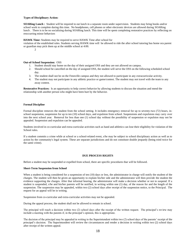#### **Types of Disciplinary Action:**

**SOARing Lunch :** Student will be required to eat lunch in a separate room under supervision. Students may bring books and/or school work to complete during this time. No headphones, cell phones or other electronic devices are allowed during SOARing lunch . There is to be no socializing during SOARing lunch. This time will be spent completing restorative practices by reflecting on reoccurring minor behaviors

**HAWK Time:** Students may be required to serve HAWK Time after school for

violation of the established rules. Students serving HAWK time will be allowed to ride the after school tutoring bus home ora parent or guardian may pick them up at the middle school at 4:00.

 $\mathcal{L}$ 

## **Out-of-School Suspension:** OSS

- 1. Student should stay home on the day of their assigned OSS and they are not allowed on campus.
- 2. Should school be cancelled on the day of assigned OSS, the student will serve the OSS on the following scheduled school day.
- 3. The student shall not be on the Fennville campus and they not allowed to participate in any extracurricular activity.
- 4. The student may not participate in any athletic practice or game/contest. The student may not travel with the team to any away contest.

**Restorative Practices:** Is an opportunity to help correct behavior by allowing students to discuss the situation and mend the relationship with another person who might have been hurt by the behavior.

## **Formal Discipline**

Formal discipline removes the student from the school setting. It includes emergency removal for up to seventy-two (72) hours, inschool suspension, suspension for up to ten (10) school days, and expulsion from school. Suspensions and expulsions may carry over into the next school year. Removal for less than one (1) school day without the possibility of suspension or expulsion may not be appealed. Suspension and expulsion can be appealed.

Students involved in co-curricular and extra-curricular activities such as band and athletics can lose their eligibility for violation of the School rules.

If a student commits a crime while at school or a school-related event, s/he may be subject to school disciplinary action as well as to action by the community's legal system. These are separate jurisdictions and do not constitute double jeopardy (being tried twice for the same crime).

## **DUE PROCESS RIGHTS**

Before a student may be suspended or expelled from school, there are specific procedures that will be followed.

#### **Short-Term Suspension from School**

When a student is being considered for a suspension of ten (10) days or less, the administrator in charge will notify the student of the charges. The student will then be given an opportunity to explain his/her side and the administrator will then provide the student the evidence supporting the charges. After that informal hearing, the administrator will make a decision whether or not to suspend. If a student is suspended, s/he and his/her parents will be notified, in writing within one (1) day, of the reason for and the length of the suspension. The suspension may be appealed, within two (2) school days after receipt of the suspension notice, to the Principal. The request for an appeal will be in writing.

Suspension from co-curricular and extra-curricular activities may not be appealed.

During the appeal process, the student shall not be allowed to remain in school.

The principal will reach a decision within two (2) school days after the receipt of the written request. The principal's review may include a meeting with the parents if, in the principal's opinion, this is appropriate.

The decision of the principal may be appealed in writing to the Superintendent within two (2) school days of the parents' receipt of the principal's decision. The Superintendent will review the circumstances and render a decision in writing within two (2) school days after receipt of the written appeal.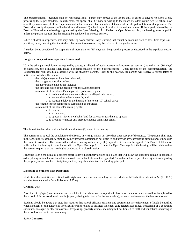The Superintendent's decision shall be considered final. Parent may appeal to the Board only in cases of alleged violation of due process by the Superintendent. In such cases, the appeal shall be made in writing to the Board President within two (2) school days after the parents' receipt of the Superintendent's decision, and shall include a statement of the alleged violation of due process. The Board shall notify the parents of its decision within ten (10) school days of receipt of the written request. If the appeal is heard by the Board of Education, the hearing is governed by the Open Meetings Act. Under the Open Meetings Act, the hearing must be public unless the parents request that the meeting be conducted in a closed session.

When a student is suspended, s/he may make-up work missed. Any learning that cannot be made up such as labs, field trips, skillpractices, or any learning that the student chooses not to make-up may be reflected in the grades earned.

A student being considered for suspension of more than ten (10) days will be given due process as described in the expulsion section below.

#### **Long-term suspension or expulsion from school**

If, in the principal's opinion or as required by statute, an alleged infraction warrants a long-term suspension (more than ten (10) days) or expulsion, the principal shall make a recommendation to the Superintendent. Upon receipt of the recommendation, the Superintendent will schedule a hearing with the student's parents. Prior to the hearing, the parents will receive a formal letter of notification which will contain:

- -the rule(s) alleged to have been violated;
- -the charges against the student;
- -the approximate date of the violation;
- -the time and place of the hearing with the Superintendent;
- -a statement of the student's and parents' prehearing rights:
	- a. to review written statements about the alleged misconduct,
	- b. to review the student's records, and
	- c. to request a delay in the hearing of up to ten (10) school days;
- -the length of the recommended suspension or expulsion;
- -a statement of the student's hearing rights:
	- a. to counsel;
	- b. to a translator;
	- c. to appear in his/her own behalf and for parents or guardians to appear;
	- d. to produce witnesses and present evidence on his/her behalf.

The Superintendent shall make a decision within two (2) days of the hearing.

The parents may appeal the expulsion to the Board, in writing, within ten (10) days after receipt of the notice. The parents shall state in the appeal the reasons they think the Superintendent's decision is not justified and provide any extenuating circumstances they wish the Board to consider. The Board will conduct a hearing within thirty (30) days after it receives the appeal. The Board of Education will conduct the hearing in compliance with the Open Meetings Act. Under the Open Meetings Act, the hearing will be public unless the parents request that the meeting be conducted in a closed session.

Fennville High School makes a sincere effort to have disciplinary actions take place that will allow the student to remain in school. If a disciplinary action does not result in removal from school, it cannot be appealed. Should a student or parent have questions regarding the propriety of an in-school disciplinary action, they should contact the building principal.

#### **Discipline of Students with Disabilities**

Students with disabilities are entitled to the rights and procedures afforded by the Individuals with Disabilities Education Act (I.D.E.A.) and the Americans with Disabilities Act (A.D.A).

#### **Criminal acts**

Any student engaging in criminal acts at or related to the school will be reported to law enforcement officials as well as disciplined by the school. It is not considered double jeopardy (being tried twice for the same crime), when school rules and the law are violated.

Students should be aware that state law requires that school officials, teachers and appropriate law enforcement officials be notified when a student of this District is involved in crimes related to physical violence, gang related acts, illegal possession of a controlled substance, analogue or other intoxicants, trespassing, property crimes, including but not limited to theft and vandalism, occurring in the school as well as in the community.

#### **Safety Concerns**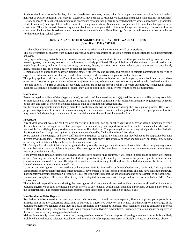Students should not use roller blades, bicycles, skateboards, scooters, or any other form of personal transportation device in school hallways or District pedestrian traffic areas. Exceptions may be made to reasonably accommodate students with mobility impairments. Use of any means of travel within buildings and on grounds by other than generally accepted practices where appropriate is prohibited. Students violating this expectation will be subject to disciplinary action. Students are not permitted to have their backpacks in the classroom. There is limited classroom space and backpacks have potential to block walkways and be safety concerns within the classroom. Each student is assigned their own locker upon enrollment at Fennville High School and will remain in that same locker for their entire high school career.

## **BULLYING AND OTHER AGGRESSIVE BEHAVIOR TOWARD STUDENTS (From Board Policy 5517.01)**

It is the policy of the District to provide a safe and nurturing educational environment for all of its students.

This policy protects all students from bullying/aggressive behavior regardless of the subject matter or motivation for such impermissible behavior.

Bullying or other aggressive behavior toward a student, whether by other students, staff, or third parties, including Board members, parents, guests, contractors, vendors, and volunteers, is strictly prohibited. This prohibition includes written, physical, verbal, and psychological abuse, including hazing, gestures, comments, threats, or actions to a student, which cause or threaten to cause bodily harm, reasonable fear for personal safety or personal degradation.

Demonstration of appropriate behavior, treating others with civility and respect, and refusing to tolerate harassment or bullying is expected of administrators, faculty, staff, and volunteers to provide positive examples for student behavior.

This policy applies to all "at school" activities in the District, including activities on school property, in a school vehicle, and those occurring off school property, if the student or employee is at any school-sponsored, school-approved or school-related activity or function, such as field trips or athletic events where students are under the school's control, or where an employee is engaged in school business. Misconduct occurring outside of school may also be disciplined if it interferes with the school environment.

#### **Notification**

Parents or legal guardians of the alleged victim(s), as well as of the alleged aggressor(s), shall be promptly notified of any complaint or investigation as well as the results of the investigation to the extent consistent with student confidentiality requirements. A record of the time and form of notice or attempts at notice shall be kept in the investigation file.

To the extent appropriate and/or legally permitted, confidentiality will be maintained during the investigation process. However, a proper investigation will, in some circumstances, require the disclosure of names and allegations. Further, the appropriate authorities may be notified, depending on the nature of the complaint and/or the results of the investigation.

#### **Procedure**

Any student who believes s/he has been or is the victim of bullying, hazing, or other aggressive behavior should immediately report the situation to the Principal or assistant principal. The student may also report concerns to a teacher or counselor who will be responsible for notifying the appropriate administrator or Board official. Complaints against the building principal should be filed with the Superintendent. Complaints against the Superintendent should be filed with the Board President.

Every student is encouraged, and every staff member is required, to report any situation that they believe to be aggressive behavior directed toward a student. Reports shall be made to those identified above. Reports may be made anonymously, but formal disciplinary action may not be taken solely on the basis of an anonymous report.

The Principal (or other administrator as designated) shall promptly investigate and document all complaints about bullying, aggressive or other behavior that may violate this policy. The investigation will be completed as promptly as the circumstances permit after a report or complaint is made.

If the investigation finds an instance of bullying or aggressive behavior has occurred, it will result in prompt and appropriate remedial action. This may include up to expulsion for students, up to discharge for employees, exclusion for parents, guests, volunteers and contractors, and removal from any official position and/or a request to resign for Board members. Individuals may also be referred to law enforcement or other appropriate officials.

If, during an investigation of a reported act of harassment, intimidation and/or bullying/cyberbullying, the Principal or appropriate administrator believes that the reported misconduct may have created a hostile learning environment and may have constituted unlawful discriminatory harassment based on a Protected Class, the Principal will report the act of bullying and/or harassment to one of the Anti-Harassment Compliance Officers so that it may be investigated in accordance with the procedures set forth in Policy [5517](http://neola.com/fennville-mi/search/policies/po5517.htm) - Anti-Harassment.

The individual responsible for conducting the investigation shall document all reported incidents and report all verified incidents of bullying, aggressive or other prohibited behavior, as well as any remedial action taken, including disciplinary actions and referrals, to the Superintendent. The Superintendent shall submit a compiled report to the Board on an annual basis.

#### **Non-Retaliation/False Reports**

Retaliation or false allegations against any person who reports, is thought to have reported, files a complaint, participates in an investigation or inquiry concerning allegations of bullying or aggressive behavior (as a witness or otherwise), or is the target of the bullying or aggressive behavior being investigated, is prohibited and will not be tolerated. Such retaliation shall be considered a serious violation of Board policy, independent of whether a complaint of bullying is substantiated. Suspected retaliation should be reported in the same manner as bullying/aggressive behavior.

Making intentionally false reports about bullying/aggressive behavior for the purpose of getting someone in trouble is similarly prohibited and will not be tolerated. Retaliation and intentionally false reports may result in disciplinary action as indicated above.

#### **Definitions**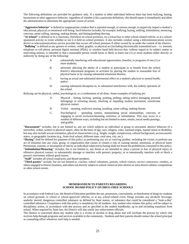The following definitions are provided for guidance only. If a student or other individual believes there has been bullying, hazing, harassment or other aggressive behavior, regardless of whether it fits a particular definition, s/he should report it immediately and allow the administration to determine the appropriate course of action.

**"Aggressive behavior**" is defined as inappropriate conduct that is repeated enough, or serious enough, to negatively impact a student's educational, physical, or emotional well-being. Such behavior includes, for example, bullying, hazing, stalking, intimidation, menacing, coercion, name-calling, taunting, making threats, and hitting/pushing/shoving.

"At School" is defined as in a classroom, elsewhere on school premises, on a school bus or other school-related vehicle, or at a schoolsponsored activity or event whether or not it is held on school premises. It also includes conduct using a telecommunications access device or telecommunications service provider that occurs off school premises if either owned by or under the control of the District. **"Bullying"** is defined as any gesture or written, verbal, graphic, or physical act (including electronically transmitted acts – i.e. internet, telephone or cell phone, personal digital assistant (PDA), or wireless hand held device) that, without regard to its subject matter or motivating animus, is intended or that a reasonable person would know is likely to harm one (1) or more students either directly or indirectly by doing any of the following:

- A. substantially interfering with educational opportunities, benefits, or programs of one (1) or more students;
- B. adversely affecting the ability of a student to participate in or benefit from the school district's educational programs or activities by placing the student in reasonable fear of physical harm or by causing substantial emotional distress;
- C. having an actual and substantial detrimental effect on a student's physical or mental health; and/or
- D. causing substantial disruption in, or substantial interference with, the orderly operation of the school.

Bullying can be physical, verbal, psychological, or a combination of all three. Some examples of bullying are:

- A. Physical hitting, kicking, spitting, pushing, pulling; taking and/or damaging personal belongings or extorting money, blocking or impeding student movement, unwelcome physical contact.
- B. Verbal taunting, malicious teasing, insulting, name calling, making threats.
- C. Psychological spreading rumors, manipulating social relationships, coercion, or engaging in social exclusion/shunning, extortion, or intimidation. This may occur in a number of different ways, including but not limited to notes, emails, social media postings, and graffiti.

**"Harassment"** includes, but is not limited to, any act which subjects an individual or group to unwanted, abusive behavior of a nonverbal, verbal, written or physical nature, often on the basis of age, race, religion, color, national origin, marital status or disability, but may also include sexual orientation, physical characteristics (e.g., height, weight, complexion), cultural background, socioeconomic status, or geographic location (e.g., from rival school, different state, rural area, city, etc.).

**"Hazing"** shall be defined for purposes of this policy as performing any act or coercing another, including the victim, to perform any act of initiation into any class, group, or organization that causes or creates a risk of causing mental, emotional, or physical harm. Permission, consent, or assumption of risk by an individual subjected to hazing shall not lessen the prohibitions contained in this policy. **"Intimidation/Menacing"** includes, but is not limited to, any threat or act intended to: place a person in fear of physical injury or offensive physical contact; to substantially damage or interfere with person's property; or to intentionally interfere with or block a person's movement without good reason.

**"Staff"** includes all school employees and Board members.

**"Third parties"** include, but are not limited to, coaches, school volunteers, parents, school visitors, service contractors, vendors, or others engaged in District business, and others not directly subject to school control at inter-district or intra-district athletic competitions or other school events.

## **MEMORANDUM TO PARENTS REGARDING SCHOOL BOARD POLICY ON DRUG-FREE SCHOOLS**

In accordance with Federal Law, the Board of Education prohibits the use, possession, concealment, or distribution of drugs by students on school grounds, in school or school-approved vehicles, or at any school-related event. Drugs includes any alcoholic beverage, anabolic steroid, dangerous controlled substance as defined by State statute, or substance that could be considered a "look-a-like" controlled substance. Compliance with this policy is mandatory for all students. Any student who violates this policy will be subject to disciplinary action, in accordance with due process and as specified in the student handbooks, up to and including expulsion from school. When required by State law, the District will also notify law enforcement officials.

The District is concerned about any student who is a victim of alcohol or drug abuse and will facilitate the process by which s/he receives help through programs and services available in the community. Students and their parents should contact the school principal or counseling office whenever such help is needed.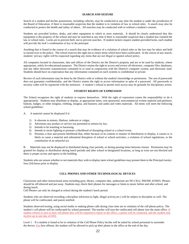#### **SEARCH AND SEIZURE**

Search of a student and his/her possessions, including vehicles, may be conducted at any time the student is under the jurisdiction of the Board of Education, if there is reasonable suspicion that the student is in violation of law or school rules. A search may also be conducted to protect the health and safety of others. All searches may be conducted with or without a student's consent.

Students are provided lockers, desks, and other equipment in which to store materials. It should be clearly understood that this equipment is the property of the school and may be searched at any time if there is reasonable suspicion that a student has violated the law or school rules. Locks are to prevent theft, not to prevent searches. If student lockers require student-provided locks, each student will provide the lock's combination or key to the principal.

Anything that is found in the course of a search that may be evidence of a violation of school rules or the law may be taken and held or turned over to the police. The school reserves the right not to return items which have been confiscated. In the course of any search, students' privacy rights will be respected regarding any items that are not illegal or against school policy.

All computers located in classrooms, labs and offices of the District are the District's property and are to be used by students, where appropriate, solely for educational purposes. The District retains the right to access and review all electronic, computer files, databases, and any other electronic transmissions contained in or used in conjunction with the District's computer system, and electronic mail. Students should have no expectation that any information contained on such systems is confidential or private.

Review of such information may be done by the District with or without the student's knowledge or permission. The use of passwords does not guarantee confidentiality, and the District retains the right to access information in spite of a password. All passwords or security codes will be registered with the instructor. A student's refusal to permit such access may be grounds for disciplinary action.

#### **STUDENT RIGHTS OF EXPRESSION**

The School recognizes the right of students to express themselves. With the right of expression comes the responsibility to do it appropriately. Students may distribute or display, at appropriate times, non-sponsored, noncommercial written material and petitions; buttons, badges, or other insignia; clothing, insignia, and banners; and audio and video materials. All items will meet the following school guidelines:

- A. A material cannot be displayed if it:
	- 1) Is obscene to minors, libelous, indecent or vulgar,
	- 2) Advertises any product or service not permitted to minors by law,
	- 3) Intends to be insulting or harassing.
	- 4) Intends to incite fighting or presents a likelihood of disrupting school or a school event.
	- 5) Presents a clear and present likelihood that, either because of its content or manner of distribution or display, it causes or is likely to cause a material and substantial disruption of school or school activities, a violation of school regulations, or the commission of an unlawful act.

B. Materials may not be displayed or distributed during class periods, or during passing times between classes. Permission may be granted for display or distribution during lunch periods and after school in designated locations, as long as exits are not blocked and there is proper access and egress to the building.

Students who are unsure whether or not materials they wish to display meet school guidelines may present them to the Principal twentyfour (24) hours prior to display.

## **CELL PHONES AND OTHER TECHNOLOGICAL DEVICES**

Classrooms and other instructional areas including gym, library, computer labs, auditorium are NO CELL PHONE ZONES. Phones should be off/silenced and put away. Students may check their phones for messages or listen to music before and after school, and during lunch.

Cell Phones can only be charged at school during the student's lunch period.

Students who are observed recording a discipline infraction (a fight, illegal activity,etc.) will be subject to discipline as well. The phone will be confiscated, and parent notified.

Students observed texting, using social media or making phone calls during class time are in violation of the cell phone policy. The student's cell phone will be confiscated by school personnel. The teacher will turn the confiscated cell phone into the main office. If student refuses to turn in their cell phone they will be required to report to the office, a parent will be contacted, and the student may receive up to one day of OSS.

Level 1 – If a student is found to be in violation of the Cell Phone Policy he/she will be asked by school personnel to surrender the device. For first offense, the student will be allowed to pick up their phone in the office at the end of the day.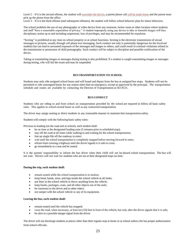Level 2 – If it is the second offense, the student will surrender the device, a parent phone call will be made home and the parent must pick up the phone from the office

Level 3 – If it is the third offense (and subsequent offenses), the student will follow school behavior plan for minor behaviors.

The school prohibits the use of any photography or video device from any restroom, locker room or other location where students and staff "have a reasonable expectation of privacy." A student improperly using any device to take or transmit images will face disciplinary action up to and including suspension, loss of privileges, and may be recommended for expulsion.

"Sexting" is prohibited at any time on school property or at school functions. Sexting is the electronic transmission of sexual messages or pictures, usually through cell phone text messaging. Such conduct not only is potentially dangerous for the involved students but can lead to unwanted exposure of the messages and images to others, and could result in criminal violations related to the transmission or possession of child pornography. Such conduct will be subject to discipline and possible confiscation of the device.

Taking or transmitting images or messages during testing is also prohibited. If a student is caught transmitting images or messages during testing, s/he will fail the exam and may be suspended.

## **BUS TRANSPORTATION TO SCHOOL**

Students may only ride assigned school buses and will board and depart from the bus at assigned bus stops. Students will not be permitted to ride unassigned buses for any reason other than an emergency, except as approved by the principal. The transportation schedule and routes are available by contacting the Director of Transportation at 561-8131.

#### **BUS CONDUCT**

Students who are riding to and from school on transportation provided by the school are required to follow all basic safety rules. This applies to school-owned buses as well as any contracted transportation.

The driver may assign seating or direct students in any reasonable manner to maintain that transportation safety.

Students will comply with the following basic safety rules:

Previous to loading (on the road and at school), each student shall:

- be on time at the designated loading zone (5 minutes prior to scheduled stop);
- stay off the road at all times while walking to and waiting for the school transportation;
- line up single file off the roadway to enter;
- wait until the school transportation is completely stopped before moving forward to enter;
- refrain from crossing a highway until the driver signals it is safe to cross;
- go immediately to a seat and be seated.

It is the parents' responsibility to inform the bus driver when their child will not be aboard school transportation. The bus will not wait. Drivers will not wait for students who are not at their designated stops on time.

#### **During the trip, each student shall:**

- remain seated while the school transportation is in motion;
- keep head, hands, arms, and legs inside the school vehicle at all times;
- not litter in the school vehicle or throw anything from the vehicle;
- keep books, packages, coats, and all other objects out of the aisle;
- be courteous to the driver and to other riders;
- not tamper with the school vehicle or any of its equipment.

#### **Leaving the bus, each student shall:**

- remain seated until the vehicle has stopped;
- cross the road, when necessary, at least ten (10) feet in front of the vehicle, but only after the driver signals that it is safe;
- be alert to a possible danger signal from the driver.

The driver will not discharge students at places other than their regular stop at home or at school unless s/he has proper authorization from school officials.